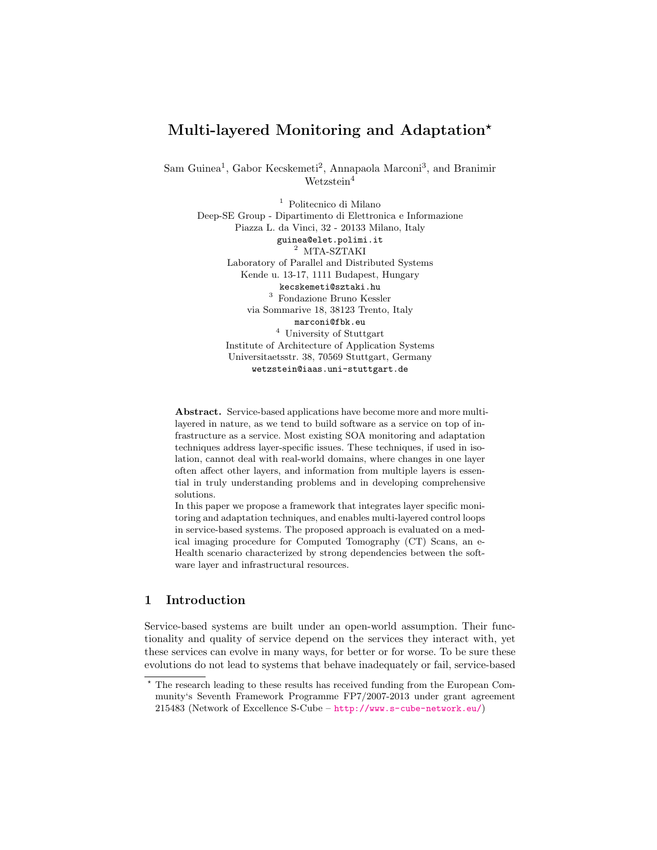# Multi-layered Monitoring and Adaptation?

Sam Guinea<sup>1</sup>, Gabor Kecskemeti<sup>2</sup>, Annapaola Marconi<sup>3</sup>, and Branimir Wetzstein<sup>4</sup>

<sup>1</sup> Politecnico di Milano Deep-SE Group - Dipartimento di Elettronica e Informazione Piazza L. da Vinci, 32 - 20133 Milano, Italy guinea@elet.polimi.it <sup>2</sup> MTA-SZTAKI Laboratory of Parallel and Distributed Systems Kende u. 13-17, 1111 Budapest, Hungary kecskemeti@sztaki.hu <sup>3</sup> Fondazione Bruno Kessler via Sommarive 18, 38123 Trento, Italy marconi@fbk.eu  $^4\,$  University of Stuttgart Institute of Architecture of Application Systems Universitaetsstr. 38, 70569 Stuttgart, Germany wetzstein@iaas.uni-stuttgart.de

Abstract. Service-based applications have become more and more multilayered in nature, as we tend to build software as a service on top of infrastructure as a service. Most existing SOA monitoring and adaptation techniques address layer-specific issues. These techniques, if used in isolation, cannot deal with real-world domains, where changes in one layer often affect other layers, and information from multiple layers is essential in truly understanding problems and in developing comprehensive solutions.

In this paper we propose a framework that integrates layer specific monitoring and adaptation techniques, and enables multi-layered control loops in service-based systems. The proposed approach is evaluated on a medical imaging procedure for Computed Tomography (CT) Scans, an e-Health scenario characterized by strong dependencies between the software layer and infrastructural resources.

## 1 Introduction

Service-based systems are built under an open-world assumption. Their functionality and quality of service depend on the services they interact with, yet these services can evolve in many ways, for better or for worse. To be sure these evolutions do not lead to systems that behave inadequately or fail, service-based

<sup>?</sup> The research leading to these results has received funding from the European Community's Seventh Framework Programme FP7/2007-2013 under grant agreement 215483 (Network of Excellence S-Cube – <http://www.s-cube-network.eu/>)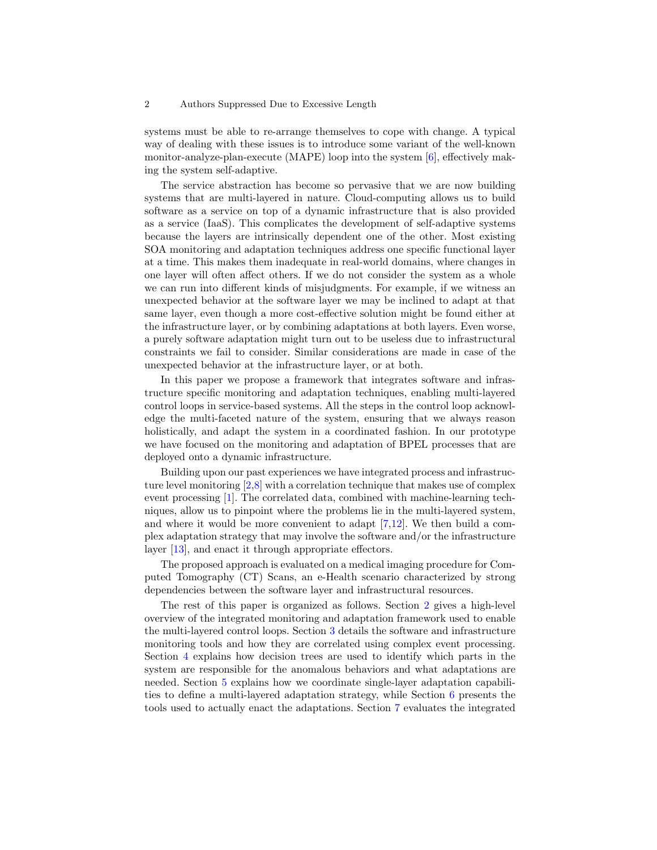systems must be able to re-arrange themselves to cope with change. A typical way of dealing with these issues is to introduce some variant of the well-known monitor-analyze-plan-execute (MAPE) loop into the system [\[6\]](#page-14-0), effectively making the system self-adaptive.

The service abstraction has become so pervasive that we are now building systems that are multi-layered in nature. Cloud-computing allows us to build software as a service on top of a dynamic infrastructure that is also provided as a service (IaaS). This complicates the development of self-adaptive systems because the layers are intrinsically dependent one of the other. Most existing SOA monitoring and adaptation techniques address one specific functional layer at a time. This makes them inadequate in real-world domains, where changes in one layer will often affect others. If we do not consider the system as a whole we can run into different kinds of misjudgments. For example, if we witness an unexpected behavior at the software layer we may be inclined to adapt at that same layer, even though a more cost-effective solution might be found either at the infrastructure layer, or by combining adaptations at both layers. Even worse, a purely software adaptation might turn out to be useless due to infrastructural constraints we fail to consider. Similar considerations are made in case of the unexpected behavior at the infrastructure layer, or at both.

In this paper we propose a framework that integrates software and infrastructure specific monitoring and adaptation techniques, enabling multi-layered control loops in service-based systems. All the steps in the control loop acknowledge the multi-faceted nature of the system, ensuring that we always reason holistically, and adapt the system in a coordinated fashion. In our prototype we have focused on the monitoring and adaptation of BPEL processes that are deployed onto a dynamic infrastructure.

Building upon our past experiences we have integrated process and infrastructure level monitoring [\[2,](#page-14-1)[8\]](#page-14-2) with a correlation technique that makes use of complex event processing [\[1\]](#page-14-3). The correlated data, combined with machine-learning techniques, allow us to pinpoint where the problems lie in the multi-layered system, and where it would be more convenient to adapt [\[7,](#page-14-4)[12\]](#page-14-5). We then build a complex adaptation strategy that may involve the software and/or the infrastructure layer [\[13\]](#page-14-6), and enact it through appropriate effectors.

The proposed approach is evaluated on a medical imaging procedure for Computed Tomography (CT) Scans, an e-Health scenario characterized by strong dependencies between the software layer and infrastructural resources.

The rest of this paper is organized as follows. Section [2](#page-2-0) gives a high-level overview of the integrated monitoring and adaptation framework used to enable the multi-layered control loops. Section [3](#page-3-0) details the software and infrastructure monitoring tools and how they are correlated using complex event processing. Section [4](#page-5-0) explains how decision trees are used to identify which parts in the system are responsible for the anomalous behaviors and what adaptations are needed. Section [5](#page-6-0) explains how we coordinate single-layer adaptation capabilities to define a multi-layered adaptation strategy, while Section [6](#page-8-0) presents the tools used to actually enact the adaptations. Section [7](#page-10-0) evaluates the integrated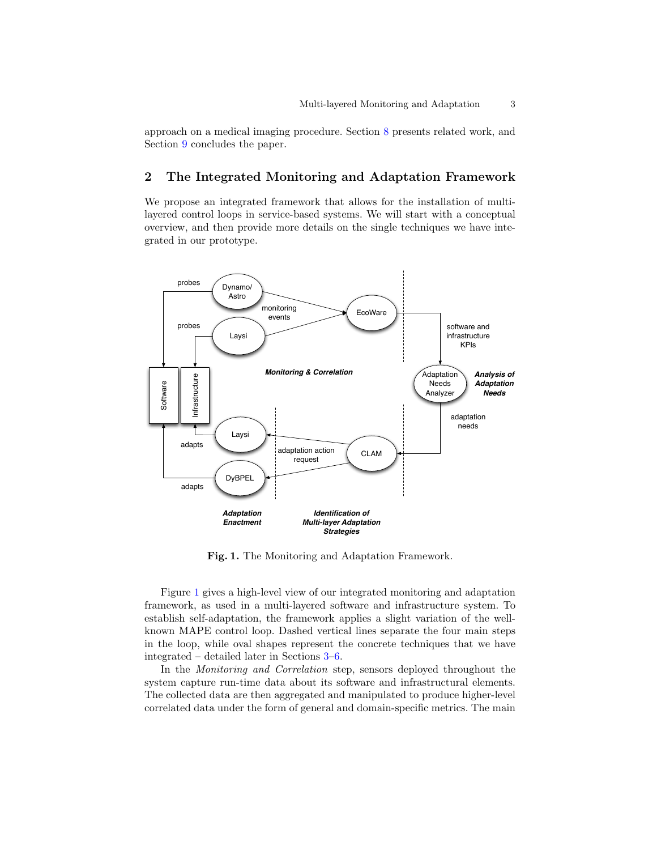approach on a medical imaging procedure. Section [8](#page-12-0) presents related work, and Section [9](#page-13-0) concludes the paper.

## <span id="page-2-0"></span>2 The Integrated Monitoring and Adaptation Framework

We propose an integrated framework that allows for the installation of multilayered control loops in service-based systems. We will start with a conceptual overview, and then provide more details on the single techniques we have integrated in our prototype.



<span id="page-2-1"></span>Fig. 1. The Monitoring and Adaptation Framework.

Figure [1](#page-2-1) gives a high-level view of our integrated monitoring and adaptation framework, as used in a multi-layered software and infrastructure system. To establish self-adaptation, the framework applies a slight variation of the wellknown MAPE control loop. Dashed vertical lines separate the four main steps in the loop, while oval shapes represent the concrete techniques that we have integrated – detailed later in Sections [3–](#page-3-0)[6.](#page-8-0)

In the Monitoring and Correlation step, sensors deployed throughout the system capture run-time data about its software and infrastructural elements. The collected data are then aggregated and manipulated to produce higher-level correlated data under the form of general and domain-specific metrics. The main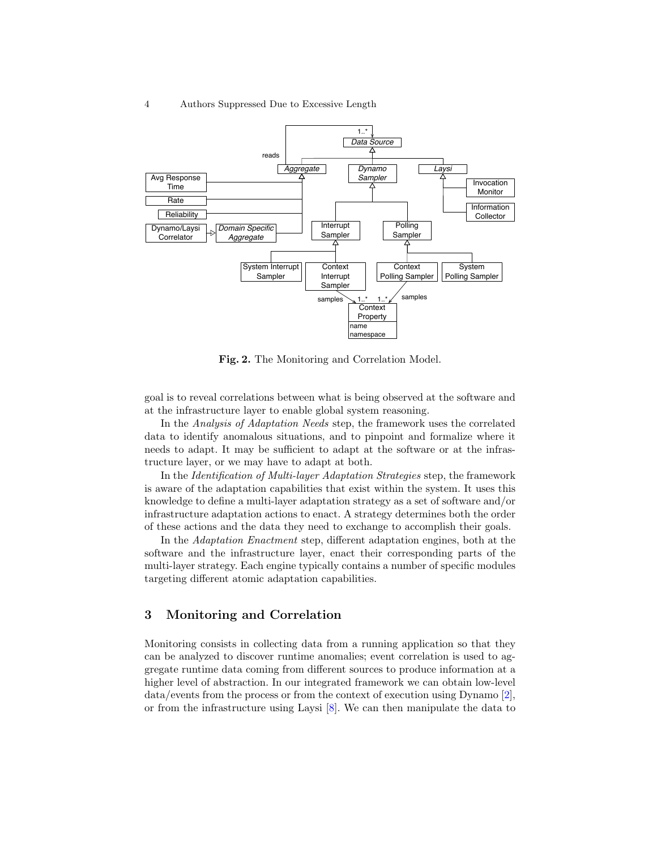

<span id="page-3-1"></span>Fig. 2. The Monitoring and Correlation Model.

goal is to reveal correlations between what is being observed at the software and at the infrastructure layer to enable global system reasoning.

In the Analysis of Adaptation Needs step, the framework uses the correlated data to identify anomalous situations, and to pinpoint and formalize where it needs to adapt. It may be sufficient to adapt at the software or at the infrastructure layer, or we may have to adapt at both.

In the Identification of Multi-layer Adaptation Strategies step, the framework is aware of the adaptation capabilities that exist within the system. It uses this knowledge to define a multi-layer adaptation strategy as a set of software and/or infrastructure adaptation actions to enact. A strategy determines both the order of these actions and the data they need to exchange to accomplish their goals.

In the Adaptation Enactment step, different adaptation engines, both at the software and the infrastructure layer, enact their corresponding parts of the multi-layer strategy. Each engine typically contains a number of specific modules targeting different atomic adaptation capabilities.

### <span id="page-3-0"></span>3 Monitoring and Correlation

Monitoring consists in collecting data from a running application so that they can be analyzed to discover runtime anomalies; event correlation is used to aggregate runtime data coming from different sources to produce information at a higher level of abstraction. In our integrated framework we can obtain low-level data/events from the process or from the context of execution using Dynamo [\[2\]](#page-14-1), or from the infrastructure using Laysi [\[8\]](#page-14-2). We can then manipulate the data to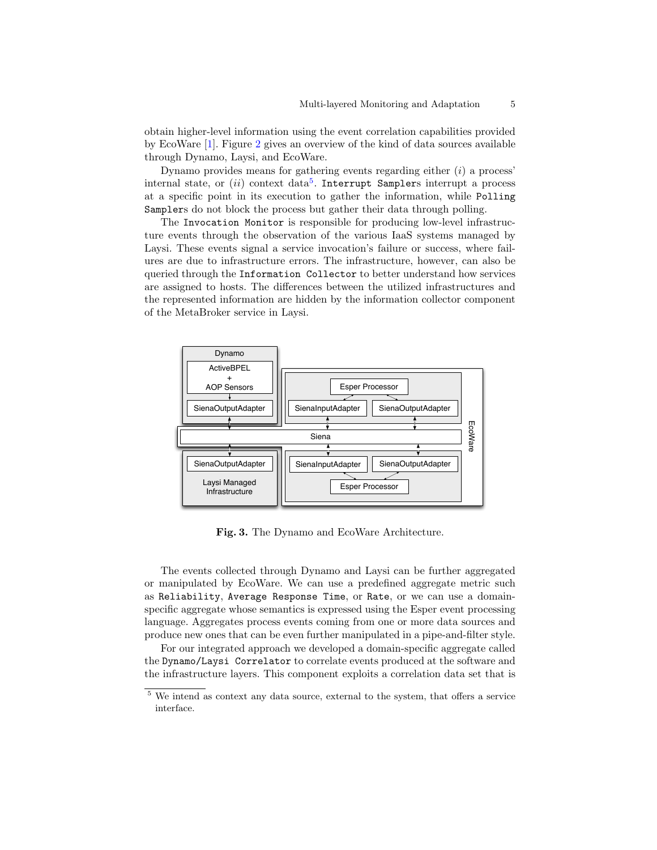obtain higher-level information using the event correlation capabilities provided by EcoWare [\[1\]](#page-14-3). Figure [2](#page-3-1) gives an overview of the kind of data sources available through Dynamo, Laysi, and EcoWare.

Dynamo provides means for gathering events regarding either  $(i)$  a process' internal state, or  $(ii)$  context data<sup>[5](#page-4-0)</sup>. Interrupt Samplers interrupt a process at a specific point in its execution to gather the information, while Polling Samplers do not block the process but gather their data through polling.

The Invocation Monitor is responsible for producing low-level infrastructure events through the observation of the various IaaS systems managed by Laysi. These events signal a service invocation's failure or success, where failures are due to infrastructure errors. The infrastructure, however, can also be queried through the Information Collector to better understand how services are assigned to hosts. The differences between the utilized infrastructures and the represented information are hidden by the information collector component of the MetaBroker service in Laysi.



<span id="page-4-1"></span>Fig. 3. The Dynamo and EcoWare Architecture.

The events collected through Dynamo and Laysi can be further aggregated or manipulated by EcoWare. We can use a predefined aggregate metric such as Reliability, Average Response Time, or Rate, or we can use a domainspecific aggregate whose semantics is expressed using the Esper event processing language. Aggregates process events coming from one or more data sources and produce new ones that can be even further manipulated in a pipe-and-filter style.

For our integrated approach we developed a domain-specific aggregate called the Dynamo/Laysi Correlator to correlate events produced at the software and the infrastructure layers. This component exploits a correlation data set that is

<span id="page-4-0"></span> $5$  We intend as context any data source, external to the system, that offers a service interface.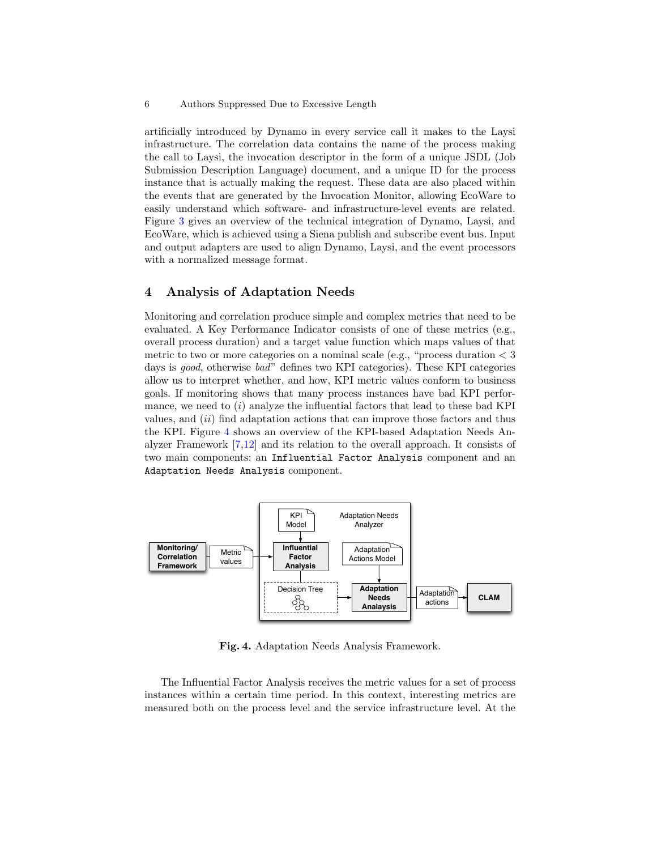artificially introduced by Dynamo in every service call it makes to the Laysi infrastructure. The correlation data contains the name of the process making the call to Laysi, the invocation descriptor in the form of a unique JSDL (Job Submission Description Language) document, and a unique ID for the process instance that is actually making the request. These data are also placed within the events that are generated by the Invocation Monitor, allowing EcoWare to easily understand which software- and infrastructure-level events are related. Figure [3](#page-4-1) gives an overview of the technical integration of Dynamo, Laysi, and EcoWare, which is achieved using a Siena publish and subscribe event bus. Input and output adapters are used to align Dynamo, Laysi, and the event processors with a normalized message format.

## <span id="page-5-0"></span>4 Analysis of Adaptation Needs

Monitoring and correlation produce simple and complex metrics that need to be evaluated. A Key Performance Indicator consists of one of these metrics (e.g., overall process duration) and a target value function which maps values of that metric to two or more categories on a nominal scale (e.g., "process duration  $\lt 3$ days is good, otherwise bad" defines two KPI categories). These KPI categories allow us to interpret whether, and how, KPI metric values conform to business goals. If monitoring shows that many process instances have bad KPI performance, we need to  $(i)$  analyze the influential factors that lead to these bad KPI values, and  $(ii)$  find adaptation actions that can improve those factors and thus the KPI. Figure [4](#page-5-1) shows an overview of the KPI-based Adaptation Needs Analyzer Framework [\[7](#page-14-4)[,12\]](#page-14-5) and its relation to the overall approach. It consists of two main components: an Influential Factor Analysis component and an Adaptation Needs Analysis component.



<span id="page-5-1"></span>Fig. 4. Adaptation Needs Analysis Framework.

The Influential Factor Analysis receives the metric values for a set of process instances within a certain time period. In this context, interesting metrics are measured both on the process level and the service infrastructure level. At the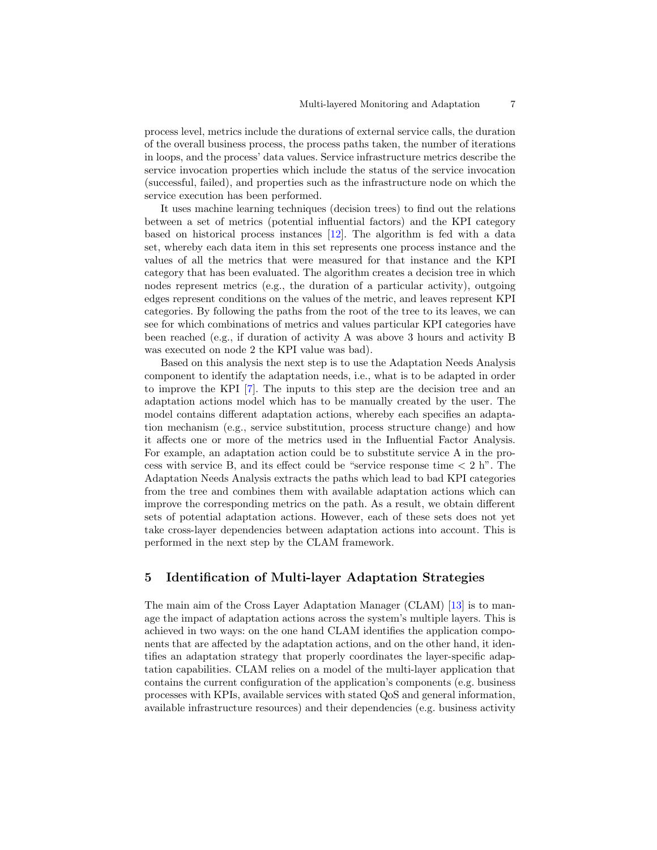process level, metrics include the durations of external service calls, the duration of the overall business process, the process paths taken, the number of iterations in loops, and the process' data values. Service infrastructure metrics describe the service invocation properties which include the status of the service invocation (successful, failed), and properties such as the infrastructure node on which the service execution has been performed.

It uses machine learning techniques (decision trees) to find out the relations between a set of metrics (potential influential factors) and the KPI category based on historical process instances [\[12\]](#page-14-5). The algorithm is fed with a data set, whereby each data item in this set represents one process instance and the values of all the metrics that were measured for that instance and the KPI category that has been evaluated. The algorithm creates a decision tree in which nodes represent metrics (e.g., the duration of a particular activity), outgoing edges represent conditions on the values of the metric, and leaves represent KPI categories. By following the paths from the root of the tree to its leaves, we can see for which combinations of metrics and values particular KPI categories have been reached (e.g., if duration of activity A was above 3 hours and activity B was executed on node 2 the KPI value was bad).

Based on this analysis the next step is to use the Adaptation Needs Analysis component to identify the adaptation needs, i.e., what is to be adapted in order to improve the KPI [\[7\]](#page-14-4). The inputs to this step are the decision tree and an adaptation actions model which has to be manually created by the user. The model contains different adaptation actions, whereby each specifies an adaptation mechanism (e.g., service substitution, process structure change) and how it affects one or more of the metrics used in the Influential Factor Analysis. For example, an adaptation action could be to substitute service A in the process with service B, and its effect could be "service response time  $\langle 2 \text{ h}$ ". The Adaptation Needs Analysis extracts the paths which lead to bad KPI categories from the tree and combines them with available adaptation actions which can improve the corresponding metrics on the path. As a result, we obtain different sets of potential adaptation actions. However, each of these sets does not yet take cross-layer dependencies between adaptation actions into account. This is performed in the next step by the CLAM framework.

## <span id="page-6-0"></span>5 Identification of Multi-layer Adaptation Strategies

The main aim of the Cross Layer Adaptation Manager (CLAM) [\[13\]](#page-14-6) is to manage the impact of adaptation actions across the system's multiple layers. This is achieved in two ways: on the one hand CLAM identifies the application components that are affected by the adaptation actions, and on the other hand, it identifies an adaptation strategy that properly coordinates the layer-specific adaptation capabilities. CLAM relies on a model of the multi-layer application that contains the current configuration of the application's components (e.g. business processes with KPIs, available services with stated QoS and general information, available infrastructure resources) and their dependencies (e.g. business activity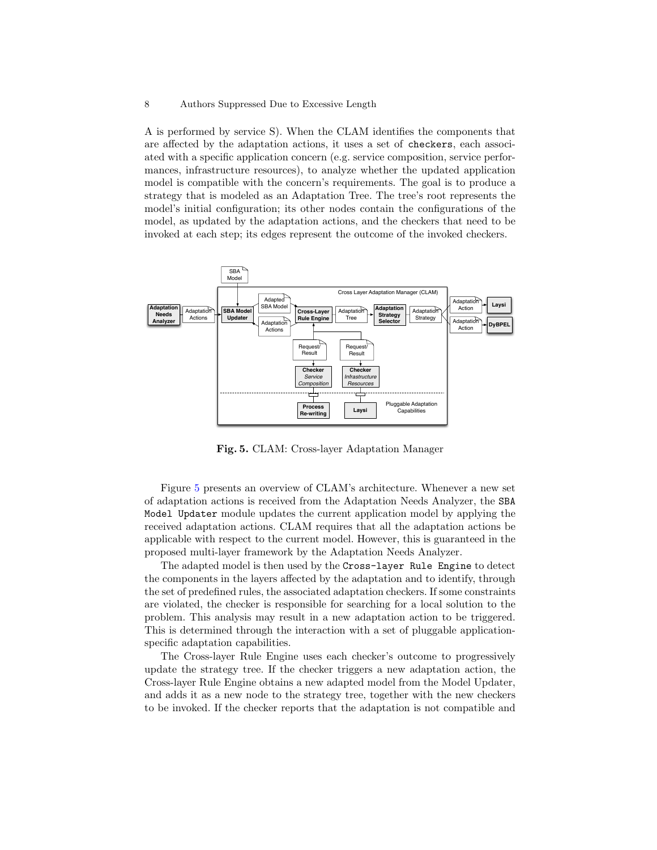A is performed by service S). When the CLAM identifies the components that are affected by the adaptation actions, it uses a set of checkers, each associated with a specific application concern (e.g. service composition, service performances, infrastructure resources), to analyze whether the updated application model is compatible with the concern's requirements. The goal is to produce a strategy that is modeled as an Adaptation Tree. The tree's root represents the model's initial configuration; its other nodes contain the configurations of the model, as updated by the adaptation actions, and the checkers that need to be invoked at each step; its edges represent the outcome of the invoked checkers.



<span id="page-7-0"></span>Fig. 5. CLAM: Cross-layer Adaptation Manager

Figure [5](#page-7-0) presents an overview of CLAM's architecture. Whenever a new set of adaptation actions is received from the Adaptation Needs Analyzer, the SBA Model Updater module updates the current application model by applying the received adaptation actions. CLAM requires that all the adaptation actions be applicable with respect to the current model. However, this is guaranteed in the proposed multi-layer framework by the Adaptation Needs Analyzer.

The adapted model is then used by the Cross-layer Rule Engine to detect the components in the layers affected by the adaptation and to identify, through the set of predefined rules, the associated adaptation checkers. If some constraints are violated, the checker is responsible for searching for a local solution to the problem. This analysis may result in a new adaptation action to be triggered. This is determined through the interaction with a set of pluggable applicationspecific adaptation capabilities.

The Cross-layer Rule Engine uses each checker's outcome to progressively update the strategy tree. If the checker triggers a new adaptation action, the Cross-layer Rule Engine obtains a new adapted model from the Model Updater, and adds it as a new node to the strategy tree, together with the new checkers to be invoked. If the checker reports that the adaptation is not compatible and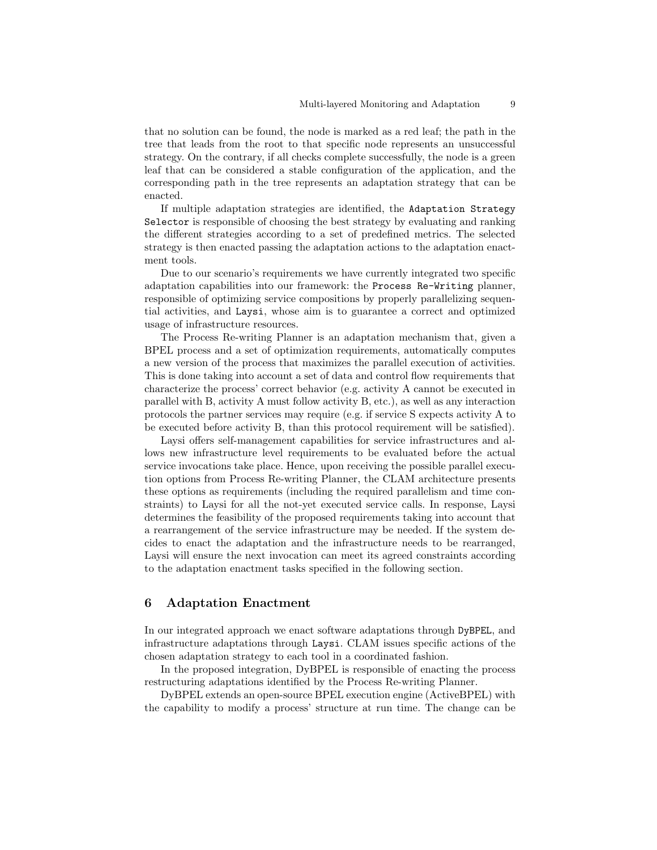that no solution can be found, the node is marked as a red leaf; the path in the tree that leads from the root to that specific node represents an unsuccessful strategy. On the contrary, if all checks complete successfully, the node is a green leaf that can be considered a stable configuration of the application, and the corresponding path in the tree represents an adaptation strategy that can be enacted.

If multiple adaptation strategies are identified, the Adaptation Strategy Selector is responsible of choosing the best strategy by evaluating and ranking the different strategies according to a set of predefined metrics. The selected strategy is then enacted passing the adaptation actions to the adaptation enactment tools.

Due to our scenario's requirements we have currently integrated two specific adaptation capabilities into our framework: the Process Re-Writing planner, responsible of optimizing service compositions by properly parallelizing sequential activities, and Laysi, whose aim is to guarantee a correct and optimized usage of infrastructure resources.

The Process Re-writing Planner is an adaptation mechanism that, given a BPEL process and a set of optimization requirements, automatically computes a new version of the process that maximizes the parallel execution of activities. This is done taking into account a set of data and control flow requirements that characterize the process' correct behavior (e.g. activity A cannot be executed in parallel with B, activity A must follow activity B, etc.), as well as any interaction protocols the partner services may require (e.g. if service S expects activity A to be executed before activity B, than this protocol requirement will be satisfied).

Laysi offers self-management capabilities for service infrastructures and allows new infrastructure level requirements to be evaluated before the actual service invocations take place. Hence, upon receiving the possible parallel execution options from Process Re-writing Planner, the CLAM architecture presents these options as requirements (including the required parallelism and time constraints) to Laysi for all the not-yet executed service calls. In response, Laysi determines the feasibility of the proposed requirements taking into account that a rearrangement of the service infrastructure may be needed. If the system decides to enact the adaptation and the infrastructure needs to be rearranged, Laysi will ensure the next invocation can meet its agreed constraints according to the adaptation enactment tasks specified in the following section.

### <span id="page-8-0"></span>6 Adaptation Enactment

In our integrated approach we enact software adaptations through DyBPEL, and infrastructure adaptations through Laysi. CLAM issues specific actions of the chosen adaptation strategy to each tool in a coordinated fashion.

In the proposed integration, DyBPEL is responsible of enacting the process restructuring adaptations identified by the Process Re-writing Planner.

DyBPEL extends an open-source BPEL execution engine (ActiveBPEL) with the capability to modify a process' structure at run time. The change can be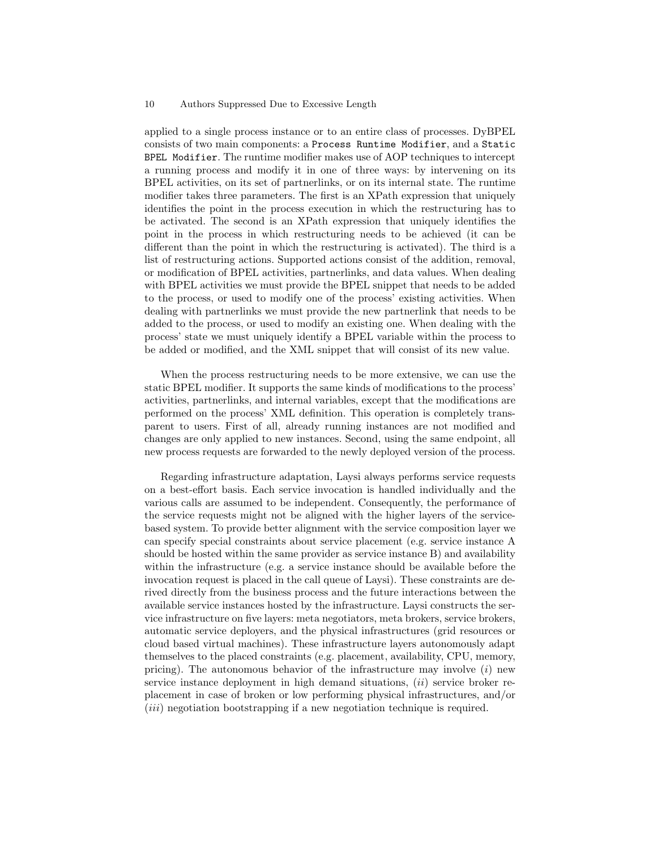applied to a single process instance or to an entire class of processes. DyBPEL consists of two main components: a Process Runtime Modifier, and a Static BPEL Modifier. The runtime modifier makes use of AOP techniques to intercept a running process and modify it in one of three ways: by intervening on its BPEL activities, on its set of partnerlinks, or on its internal state. The runtime modifier takes three parameters. The first is an XPath expression that uniquely identifies the point in the process execution in which the restructuring has to be activated. The second is an XPath expression that uniquely identifies the point in the process in which restructuring needs to be achieved (it can be different than the point in which the restructuring is activated). The third is a list of restructuring actions. Supported actions consist of the addition, removal, or modification of BPEL activities, partnerlinks, and data values. When dealing with BPEL activities we must provide the BPEL snippet that needs to be added to the process, or used to modify one of the process' existing activities. When dealing with partnerlinks we must provide the new partnerlink that needs to be added to the process, or used to modify an existing one. When dealing with the process' state we must uniquely identify a BPEL variable within the process to be added or modified, and the XML snippet that will consist of its new value.

When the process restructuring needs to be more extensive, we can use the static BPEL modifier. It supports the same kinds of modifications to the process' activities, partnerlinks, and internal variables, except that the modifications are performed on the process' XML definition. This operation is completely transparent to users. First of all, already running instances are not modified and changes are only applied to new instances. Second, using the same endpoint, all new process requests are forwarded to the newly deployed version of the process.

Regarding infrastructure adaptation, Laysi always performs service requests on a best-effort basis. Each service invocation is handled individually and the various calls are assumed to be independent. Consequently, the performance of the service requests might not be aligned with the higher layers of the servicebased system. To provide better alignment with the service composition layer we can specify special constraints about service placement (e.g. service instance A should be hosted within the same provider as service instance B) and availability within the infrastructure (e.g. a service instance should be available before the invocation request is placed in the call queue of Laysi). These constraints are derived directly from the business process and the future interactions between the available service instances hosted by the infrastructure. Laysi constructs the service infrastructure on five layers: meta negotiators, meta brokers, service brokers, automatic service deployers, and the physical infrastructures (grid resources or cloud based virtual machines). These infrastructure layers autonomously adapt themselves to the placed constraints (e.g. placement, availability, CPU, memory, pricing). The autonomous behavior of the infrastructure may involve  $(i)$  new service instance deployment in high demand situations,  $(ii)$  service broker replacement in case of broken or low performing physical infrastructures, and/or (*iii*) negotiation bootstrapping if a new negotiation technique is required.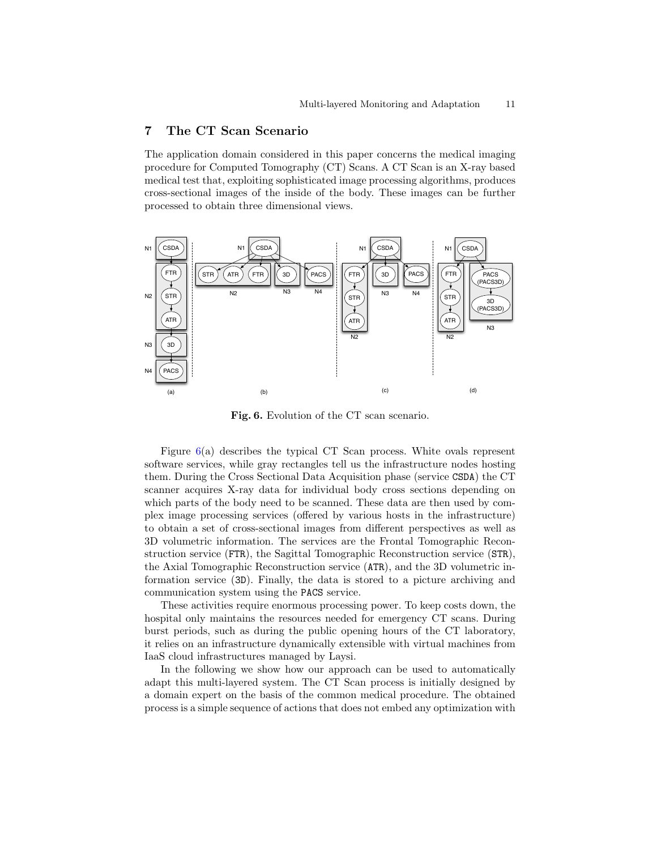## <span id="page-10-0"></span>7 The CT Scan Scenario

The application domain considered in this paper concerns the medical imaging procedure for Computed Tomography (CT) Scans. A CT Scan is an X-ray based medical test that, exploiting sophisticated image processing algorithms, produces cross-sectional images of the inside of the body. These images can be further processed to obtain three dimensional views.



<span id="page-10-1"></span>Fig. 6. Evolution of the CT scan scenario.

Figure  $6(a)$  $6(a)$  describes the typical CT Scan process. White ovals represent software services, while gray rectangles tell us the infrastructure nodes hosting them. During the Cross Sectional Data Acquisition phase (service CSDA) the CT scanner acquires X-ray data for individual body cross sections depending on which parts of the body need to be scanned. These data are then used by complex image processing services (offered by various hosts in the infrastructure) to obtain a set of cross-sectional images from different perspectives as well as 3D volumetric information. The services are the Frontal Tomographic Reconstruction service (FTR), the Sagittal Tomographic Reconstruction service (STR), the Axial Tomographic Reconstruction service (ATR), and the 3D volumetric information service (3D). Finally, the data is stored to a picture archiving and communication system using the PACS service.

These activities require enormous processing power. To keep costs down, the hospital only maintains the resources needed for emergency CT scans. During burst periods, such as during the public opening hours of the CT laboratory, it relies on an infrastructure dynamically extensible with virtual machines from IaaS cloud infrastructures managed by Laysi.

In the following we show how our approach can be used to automatically adapt this multi-layered system. The CT Scan process is initially designed by a domain expert on the basis of the common medical procedure. The obtained process is a simple sequence of actions that does not embed any optimization with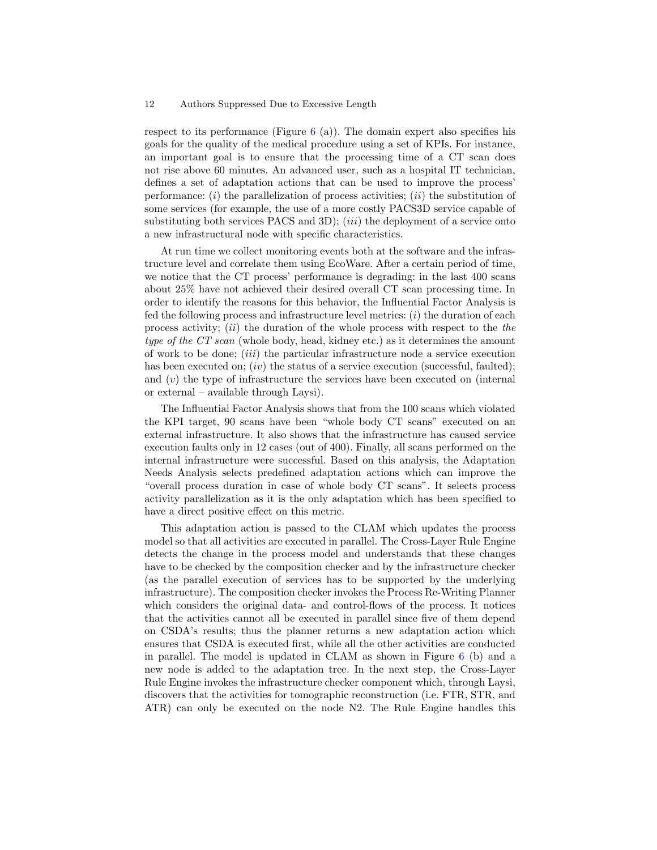respect to its performance (Figure  $6$  (a)). The domain expert also specifies his goals for the quality of the medical procedure using a set of KPIs. For instance, an important goal is to ensure that the processing time of a CT scan does not rise above 60 minutes. An advanced user, such as a hospital IT technician, defines a set of adaptation actions that can be used to improve the process' performance:  $(i)$  the parallelization of process activities;  $(ii)$  the substitution of some services (for example, the use of a more costly PACS3D service capable of substituting both services PACS and  $3D$ ); *(iii)* the deployment of a service onto a new infrastructural node with specific characteristics.

At run time we collect monitoring events both at the software and the infrastructure level and correlate them using EcoWare. After a certain period of time, we notice that the CT process' performance is degrading: in the last 400 scans about 25% have not achieved their desired overall CT scan processing time. In order to identify the reasons for this behavior, the Influential Factor Analysis is fed the following process and infrastructure level metrics:  $(i)$  the duration of each process activity;  $(ii)$  the duration of the whole process with respect to the the type of the CT scan (whole body, head, kidney etc.) as it determines the amount of work to be done; (iii) the particular infrastructure node a service execution has been executed on;  $(iv)$  the status of a service execution (successful, faulted); and  $(v)$  the type of infrastructure the services have been executed on (internal or external – available through Laysi).

The Influential Factor Analysis shows that from the 100 scans which violated the KPI target, 90 scans have been "whole body CT scans" executed on an external infrastructure. It also shows that the infrastructure has caused service execution faults only in 12 cases (out of 400). Finally, all scans performed on the internal infrastructure were successful. Based on this analysis, the Adaptation Needs Analysis selects predefined adaptation actions which can improve the "overall process duration in case of whole body CT scans". It selects process activity parallelization as it is the only adaptation which has been specified to have a direct positive effect on this metric.

This adaptation action is passed to the CLAM which updates the process model so that all activities are executed in parallel. The Cross-Layer Rule Engine detects the change in the process model and understands that these changes have to be checked by the composition checker and by the infrastructure checker (as the parallel execution of services has to be supported by the underlying infrastructure). The composition checker invokes the Process Re-Writing Planner which considers the original data- and control-flows of the process. It notices that the activities cannot all be executed in parallel since five of them depend on CSDA's results; thus the planner returns a new adaptation action which ensures that CSDA is executed first, while all the other activities are conducted in parallel. The model is updated in CLAM as shown in Figure [6](#page-10-1) (b) and a new node is added to the adaptation tree. In the next step, the Cross-Layer Rule Engine invokes the infrastructure checker component which, through Laysi, discovers that the activities for tomographic reconstruction (i.e. FTR, STR, and ATR) can only be executed on the node N2. The Rule Engine handles this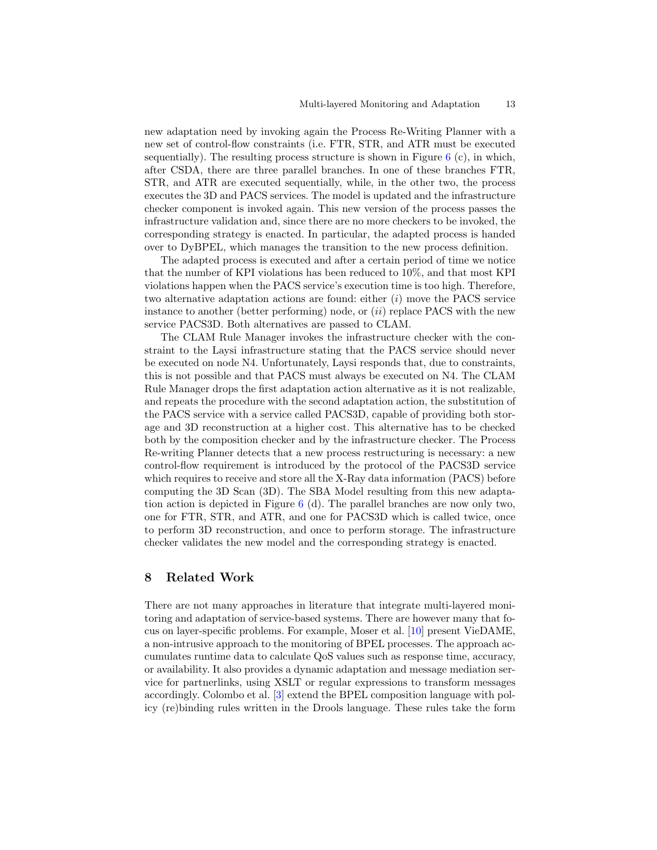new adaptation need by invoking again the Process Re-Writing Planner with a new set of control-flow constraints (i.e. FTR, STR, and ATR must be executed sequentially). The resulting process structure is shown in Figure  $6$  (c), in which, after CSDA, there are three parallel branches. In one of these branches FTR, STR, and ATR are executed sequentially, while, in the other two, the process executes the 3D and PACS services. The model is updated and the infrastructure checker component is invoked again. This new version of the process passes the infrastructure validation and, since there are no more checkers to be invoked, the corresponding strategy is enacted. In particular, the adapted process is handed over to DyBPEL, which manages the transition to the new process definition.

The adapted process is executed and after a certain period of time we notice that the number of KPI violations has been reduced to 10%, and that most KPI violations happen when the PACS service's execution time is too high. Therefore, two alternative adaptation actions are found: either  $(i)$  move the PACS service instance to another (better performing) node, or  $(ii)$  replace PACS with the new service PACS3D. Both alternatives are passed to CLAM.

The CLAM Rule Manager invokes the infrastructure checker with the constraint to the Laysi infrastructure stating that the PACS service should never be executed on node N4. Unfortunately, Laysi responds that, due to constraints, this is not possible and that PACS must always be executed on N4. The CLAM Rule Manager drops the first adaptation action alternative as it is not realizable, and repeats the procedure with the second adaptation action, the substitution of the PACS service with a service called PACS3D, capable of providing both storage and 3D reconstruction at a higher cost. This alternative has to be checked both by the composition checker and by the infrastructure checker. The Process Re-writing Planner detects that a new process restructuring is necessary: a new control-flow requirement is introduced by the protocol of the PACS3D service which requires to receive and store all the X-Ray data information (PACS) before computing the 3D Scan (3D). The SBA Model resulting from this new adaptation action is depicted in Figure [6](#page-10-1) (d). The parallel branches are now only two, one for FTR, STR, and ATR, and one for PACS3D which is called twice, once to perform 3D reconstruction, and once to perform storage. The infrastructure checker validates the new model and the corresponding strategy is enacted.

## <span id="page-12-0"></span>8 Related Work

There are not many approaches in literature that integrate multi-layered monitoring and adaptation of service-based systems. There are however many that focus on layer-specific problems. For example, Moser et al. [\[10\]](#page-14-7) present VieDAME, a non-intrusive approach to the monitoring of BPEL processes. The approach accumulates runtime data to calculate QoS values such as response time, accuracy, or availability. It also provides a dynamic adaptation and message mediation service for partnerlinks, using XSLT or regular expressions to transform messages accordingly. Colombo et al. [\[3\]](#page-14-8) extend the BPEL composition language with policy (re)binding rules written in the Drools language. These rules take the form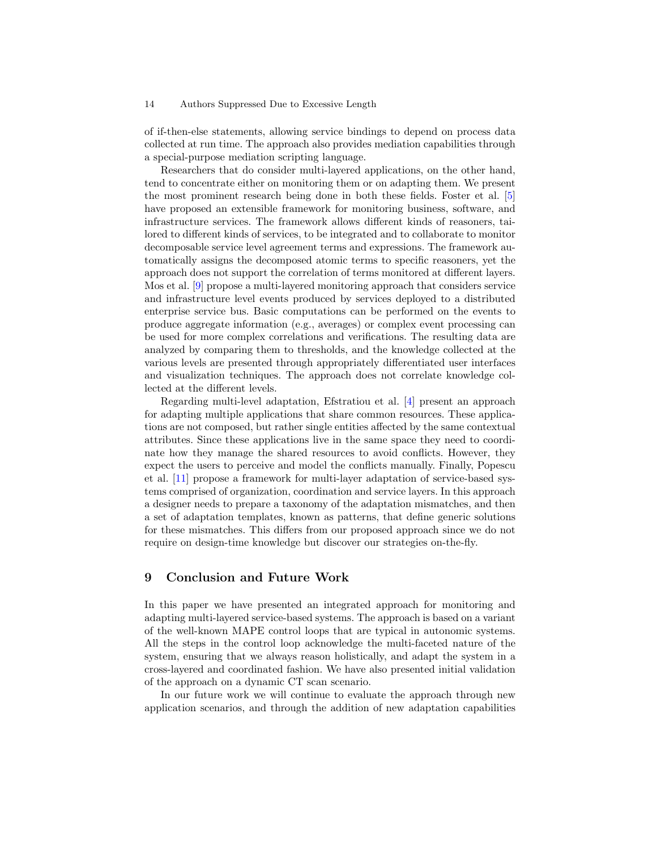of if-then-else statements, allowing service bindings to depend on process data collected at run time. The approach also provides mediation capabilities through a special-purpose mediation scripting language.

Researchers that do consider multi-layered applications, on the other hand, tend to concentrate either on monitoring them or on adapting them. We present the most prominent research being done in both these fields. Foster et al. [\[5\]](#page-14-9) have proposed an extensible framework for monitoring business, software, and infrastructure services. The framework allows different kinds of reasoners, tailored to different kinds of services, to be integrated and to collaborate to monitor decomposable service level agreement terms and expressions. The framework automatically assigns the decomposed atomic terms to specific reasoners, yet the approach does not support the correlation of terms monitored at different layers. Mos et al. [\[9\]](#page-14-10) propose a multi-layered monitoring approach that considers service and infrastructure level events produced by services deployed to a distributed enterprise service bus. Basic computations can be performed on the events to produce aggregate information (e.g., averages) or complex event processing can be used for more complex correlations and verifications. The resulting data are analyzed by comparing them to thresholds, and the knowledge collected at the various levels are presented through appropriately differentiated user interfaces and visualization techniques. The approach does not correlate knowledge collected at the different levels.

Regarding multi-level adaptation, Efstratiou et al. [\[4\]](#page-14-11) present an approach for adapting multiple applications that share common resources. These applications are not composed, but rather single entities affected by the same contextual attributes. Since these applications live in the same space they need to coordinate how they manage the shared resources to avoid conflicts. However, they expect the users to perceive and model the conflicts manually. Finally, Popescu et al. [\[11\]](#page-14-12) propose a framework for multi-layer adaptation of service-based systems comprised of organization, coordination and service layers. In this approach a designer needs to prepare a taxonomy of the adaptation mismatches, and then a set of adaptation templates, known as patterns, that define generic solutions for these mismatches. This differs from our proposed approach since we do not require on design-time knowledge but discover our strategies on-the-fly.

## <span id="page-13-0"></span>9 Conclusion and Future Work

In this paper we have presented an integrated approach for monitoring and adapting multi-layered service-based systems. The approach is based on a variant of the well-known MAPE control loops that are typical in autonomic systems. All the steps in the control loop acknowledge the multi-faceted nature of the system, ensuring that we always reason holistically, and adapt the system in a cross-layered and coordinated fashion. We have also presented initial validation of the approach on a dynamic CT scan scenario.

In our future work we will continue to evaluate the approach through new application scenarios, and through the addition of new adaptation capabilities